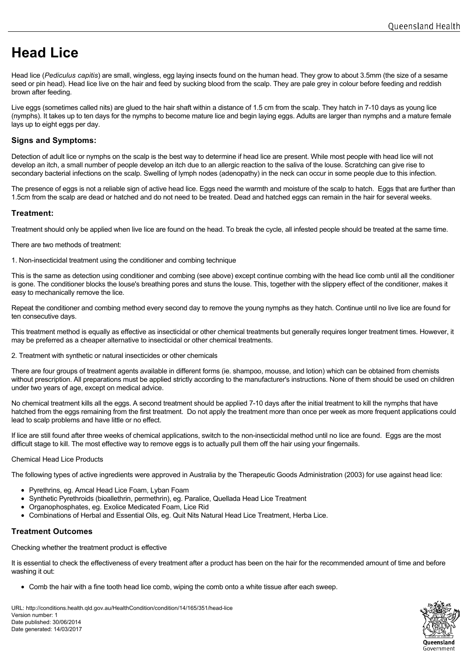# **Head Lice**

Head lice (*Pediculus capitis*) are small, wingless, egg laying insects found on the human head. They grow to about 3.5mm (the size of a sesame seed or pin head). Head lice live on the hair and feed by sucking blood from the scalp. They are pale grey in colour before feeding and reddish brown after feeding.

Live eggs (sometimes called nits) are glued to the hair shaft within a distance of 1.5 cm from the scalp. They hatch in 7-10 days as young lice (nymphs). It takes up to ten days for the nymphs to become mature lice and begin laying eggs. Adults are larger than nymphs and a mature female lays up to eight eggs per day.

# **Signs and Symptoms:**

Detection of adult lice or nymphs on the scalp is the best way to determine if head lice are present. While most people with head lice will not develop an itch, a small number of people develop an itch due to an allergic reaction to the saliva of the louse. Scratching can give rise to secondary bacterial infections on the scalp. Swelling of lymph nodes (adenopathy) in the neck can occur in some people due to this infection.

The presence of eggs is not a reliable sign of active head lice. Eggs need the warmth and moisture of the scalp to hatch. Eggs that are further than 1.5cm from the scalp are dead or hatched and do not need to be treated. Dead and hatched eggs can remain in the hair for several weeks.

# **Treatment:**

Treatment should only be applied when live lice are found on the head. To break the cycle, all infested people should be treated at the same time.

There are two methods of treatment:

1. Non-insecticidal treatment using the conditioner and combing technique

This is the same as detection using conditioner and combing (see above) except continue combing with the head lice comb until all the conditioner is gone. The conditioner blocks the louse's breathing pores and stuns the louse. This, together with the slippery effect of the conditioner, makes it easy to mechanically remove the lice.

Repeat the conditioner and combing method every second day to remove the young nymphs as they hatch. Continue until no live lice are found for ten consecutive days.

This treatment method is equally as effective as insecticidal or other chemical treatments but generally requires longer treatment times. However, it may be preferred as a cheaper alternative to insecticidal or other chemical treatments.

2. Treatment with synthetic or natural insecticides or other chemicals

There are four groups of treatment agents available in different forms (ie. shampoo, mousse, and lotion) which can be obtained from chemists without prescription. All preparations must be applied strictly according to the manufacturer's instructions. None of them should be used on children under two years of age, except on medical advice.

No chemical treatment kills all the eggs. A second treatment should be applied 7-10 days after the initial treatment to kill the nymphs that have hatched from the eggs remaining from the first treatment. Do not apply the treatment more than once per week as more frequent applications could lead to scalp problems and have little or no effect.

If lice are still found after three weeks of chemical applications, switch to the non-insecticidal method until no lice are found. Eggs are the most difficult stage to kill. The most effective way to remove eggs is to actually pull them off the hair using your fingernails.

## Chemical Head Lice Products

The following types of active ingredients were approved in Australia by the Therapeutic Goods Administration (2003) for use against head lice:

- Pyrethrins, eg. Amcal Head Lice Foam, Lyban Foam
- Synthetic Pyrethroids (bioallethrin, permethrin), eg. Paralice, Quellada Head Lice Treatment
- Organophosphates, eg. Exolice Medicated Foam, Lice Rid  $\bullet$
- $\bullet$ Combinations of Herbal and Essential Oils, eg. Quit Nits Natural Head Lice Treatment, Herba Lice.

## **Treatment Outcomes**

Checking whether the treatment product is effective

It is essential to check the effectiveness of every treatment after a product has been on the hair for the recommended amount of time and before washing it out:

Comb the hair with a fine tooth head lice comb, wiping the comb onto a white tissue after each sweep.

URL: http://conditions.health.qld.gov.au/HealthCondition/condition/14/165/351/head-lice Version number: 1 Date published: 30/06/2014 Date generated: 14/03/2017

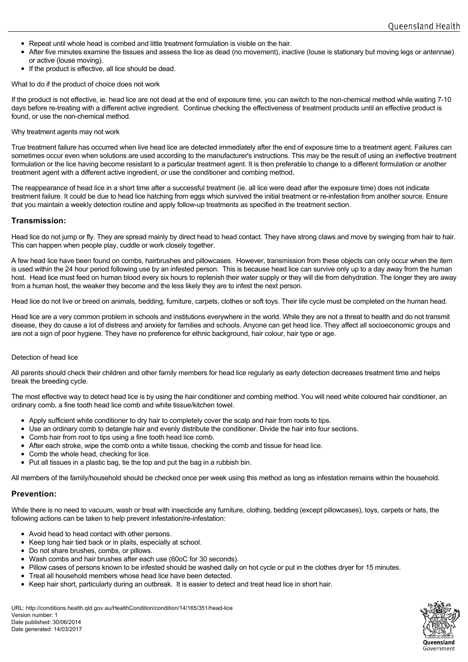- Repeat until whole head is combed and little treatment formulation is visible on the hair.
- After five minutes examine the tissues and assess the lice as dead (no movement), inactive (louse is stationary but moving legs or antennae) or active (louse moving).
- If the product is effective, all lice should be dead.

What to do if the product of choice does not work

If the product is not effective, ie. head lice are not dead at the end of exposure time, you can switch to the non-chemical method while waiting 7-10 days before re-treating with a different active ingredient. Continue checking the effectiveness of treatment products until an effective product is found, or use the non-chemical method.

#### Why treatment agents may not work

True treatment failure has occurred when live head lice are detected immediately after the end of exposure time to a treatment agent. Failures can sometimes occur even when solutions are used according to the manufacturer's instructions. This may be the result of using an ineffective treatment formulation or the lice having become resistant to a particular treatment agent. It is then preferable to change to a different formulation or another treatment agent with a different active ingredient, or use the conditioner and combing method.

The reappearance of head lice in a short time after a successful treatment (ie. all lice were dead after the exposure time) does not indicate treatment failure. It could be due to head lice hatching from eggs which survived the initial treatment or re-infestation from another source. Ensure that you maintain a weekly detection routine and apply follow-up treatments as specified in the treatment section.

## **Transmission:**

Head lice do not jump or fly. They are spread mainly by direct head to head contact. They have strong claws and move by swinging from hair to hair. This can happen when people play, cuddle or work closely together.

A few head lice have been found on combs, hairbrushes and pillowcases. However, transmission from these objects can only occur when the item is used within the 24 hour period following use by an infested person. This is because head lice can survive only up to a day away from the human host. Head lice must feed on human blood every six hours to replenish their water supply or they will die from dehydration. The longer they are away from a human host, the weaker they become and the less likely they are to infest the next person.

Head lice do not live or breed on animals, bedding, furniture, carpets, clothes or soft toys. Their life cycle must be completed on the human head.

Head lice are a very common problem in schools and institutions everywhere in the world. While they are not a threat to health and do not transmit disease, they do cause a lot of distress and anxiety for families and schools. Anyone can get head lice. They affect all socioeconomic groups and are not a sign of poor hygiene. They have no preference for ethnic background, hair colour, hair type or age.

#### Detection of head lice

All parents should check their children and other family members for head lice regularly as early detection decreases treatment time and helps break the breeding cycle.

The most effective way to detect head lice is by using the hair conditioner and combing method. You will need white coloured hair conditioner, an ordinary comb, a fine tooth head lice comb and white tissue/kitchen towel.

- Apply sufficient white conditioner to dry hair to completely cover the scalp and hair from roots to tips.
- Use an ordinary comb to detangle hair and evenly distribute the conditioner. Divide the hair into four sections.
- Comb hair from root to tips using a fine tooth head lice comb.
- After each stroke, wipe the comb onto a white tissue, checking the comb and tissue for head lice.
- Comb the whole head, checking for lice.
- Put all tissues in a plastic bag, tie the top and put the bag in a rubbish bin.

All members of the family/household should be checked once per week using this method as long as infestation remains within the household.

## **Prevention:**

While there is no need to vacuum, wash or treat with insecticide any furniture, clothing, bedding (except pillowcases), toys, carpets or hats, the following actions can be taken to help prevent infestation/re-infestation:

- Avoid head to head contact with other persons.
- Keep long hair tied back or in plaits, especially at school.
- Do not share brushes, combs, or pillows.
- Wash combs and hair brushes after each use (60oC for 30 seconds).
- Pillow cases of persons known to be infested should be washed daily on hot cycle or put in the clothes dryer for 15 minutes.
- Treat all household members whose head lice have been detected.
- Keep hair short, particularly during an outbreak. It is easier to detect and treat head lice in short hair.

URL: http://conditions.health.qld.gov.au/HealthCondition/condition/14/165/351/head-lice Version number: 1 Date published: 30/06/2014 Date generated: 14/03/2017